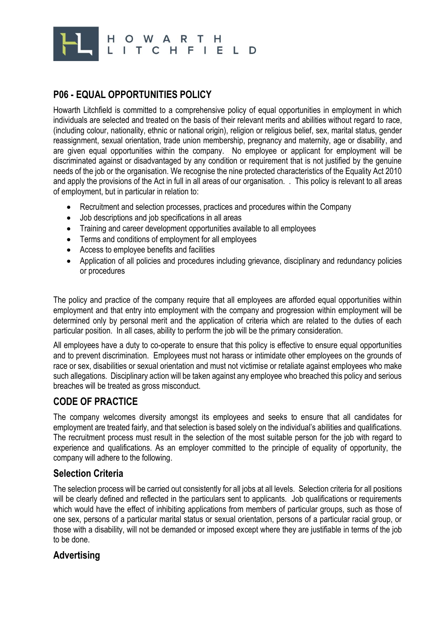

# **P06 - EQUAL OPPORTUNITIES POLICY**

Howarth Litchfield is committed to a comprehensive policy of equal opportunities in employment in which individuals are selected and treated on the basis of their relevant merits and abilities without regard to race, (including colour, nationality, ethnic or national origin), religion or religious belief, sex, marital status, gender reassignment, sexual orientation, trade union membership, pregnancy and maternity, age or disability, and are given equal opportunities within the company. No employee or applicant for employment will be discriminated against or disadvantaged by any condition or requirement that is not justified by the genuine needs of the job or the organisation. We recognise the nine protected characteristics of the Equality Act 2010 and apply the provisions of the Act in full in all areas of our organisation. . This policy is relevant to all areas of employment, but in particular in relation to:

- Recruitment and selection processes, practices and procedures within the Company
- Job descriptions and job specifications in all areas
- Training and career development opportunities available to all employees
- Terms and conditions of employment for all employees
- Access to employee benefits and facilities
- Application of all policies and procedures including grievance, disciplinary and redundancy policies or procedures

The policy and practice of the company require that all employees are afforded equal opportunities within employment and that entry into employment with the company and progression within employment will be determined only by personal merit and the application of criteria which are related to the duties of each particular position. In all cases, ability to perform the job will be the primary consideration.

All employees have a duty to co-operate to ensure that this policy is effective to ensure equal opportunities and to prevent discrimination. Employees must not harass or intimidate other employees on the grounds of race or sex, disabilities or sexual orientation and must not victimise or retaliate against employees who make such allegations. Disciplinary action will be taken against any employee who breached this policy and serious breaches will be treated as gross misconduct.

## **CODE OF PRACTICE**

The company welcomes diversity amongst its employees and seeks to ensure that all candidates for employment are treated fairly, and that selection is based solely on the individual's abilities and qualifications. The recruitment process must result in the selection of the most suitable person for the job with regard to experience and qualifications. As an employer committed to the principle of equality of opportunity, the company will adhere to the following.

### **Selection Criteria**

The selection process will be carried out consistently for all jobs at all levels. Selection criteria for all positions will be clearly defined and reflected in the particulars sent to applicants. Job qualifications or requirements which would have the effect of inhibiting applications from members of particular groups, such as those of one sex, persons of a particular marital status or sexual orientation, persons of a particular racial group, or those with a disability, will not be demanded or imposed except where they are justifiable in terms of the job to be done.

### **Advertising**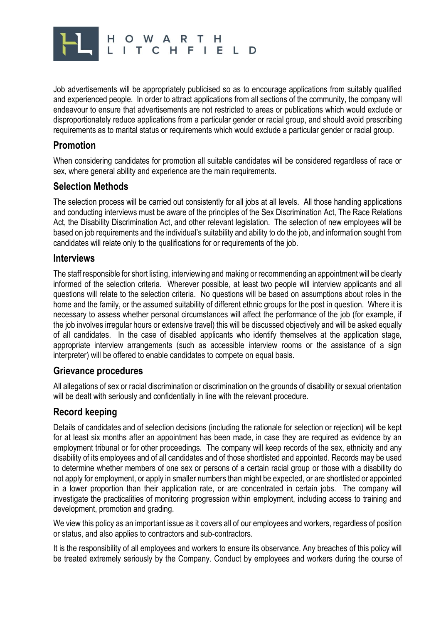

Job advertisements will be appropriately publicised so as to encourage applications from suitably qualified and experienced people. In order to attract applications from all sections of the community, the company will endeavour to ensure that advertisements are not restricted to areas or publications which would exclude or disproportionately reduce applications from a particular gender or racial group, and should avoid prescribing requirements as to marital status or requirements which would exclude a particular gender or racial group.

## **Promotion**

When considering candidates for promotion all suitable candidates will be considered regardless of race or sex, where general ability and experience are the main requirements.

### **Selection Methods**

The selection process will be carried out consistently for all jobs at all levels. All those handling applications and conducting interviews must be aware of the principles of the Sex Discrimination Act, The Race Relations Act, the Disability Discrimination Act, and other relevant legislation. The selection of new employees will be based on job requirements and the individual's suitability and ability to do the job, and information sought from candidates will relate only to the qualifications for or requirements of the job.

#### **Interviews**

The staff responsible for short listing, interviewing and making or recommending an appointment will be clearly informed of the selection criteria. Wherever possible, at least two people will interview applicants and all questions will relate to the selection criteria. No questions will be based on assumptions about roles in the home and the family, or the assumed suitability of different ethnic groups for the post in question. Where it is necessary to assess whether personal circumstances will affect the performance of the job (for example, if the job involves irregular hours or extensive travel) this will be discussed objectively and will be asked equally of all candidates. In the case of disabled applicants who identify themselves at the application stage, appropriate interview arrangements (such as accessible interview rooms or the assistance of a sign interpreter) will be offered to enable candidates to compete on equal basis.

### **Grievance procedures**

All allegations of sex or racial discrimination or discrimination on the grounds of disability or sexual orientation will be dealt with seriously and confidentially in line with the relevant procedure.

## **Record keeping**

Details of candidates and of selection decisions (including the rationale for selection or rejection) will be kept for at least six months after an appointment has been made, in case they are required as evidence by an employment tribunal or for other proceedings. The company will keep records of the sex, ethnicity and any disability of its employees and of all candidates and of those shortlisted and appointed. Records may be used to determine whether members of one sex or persons of a certain racial group or those with a disability do not apply for employment, or apply in smaller numbers than might be expected, or are shortlisted or appointed in a lower proportion than their application rate, or are concentrated in certain jobs. The company will investigate the practicalities of monitoring progression within employment, including access to training and development, promotion and grading.

We view this policy as an important issue as it covers all of our employees and workers, regardless of position or status, and also applies to contractors and sub-contractors.

It is the responsibility of all employees and workers to ensure its observance. Any breaches of this policy will be treated extremely seriously by the Company. Conduct by employees and workers during the course of